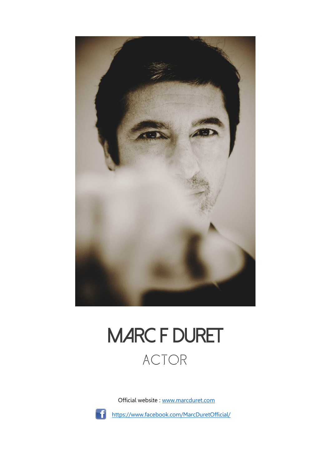

## **MARC F DURET** Actor

Official website : [www.marcduret.com](http://www.marcduret.com/)



<https://www.facebook.com/MarcDuretOfficial/>